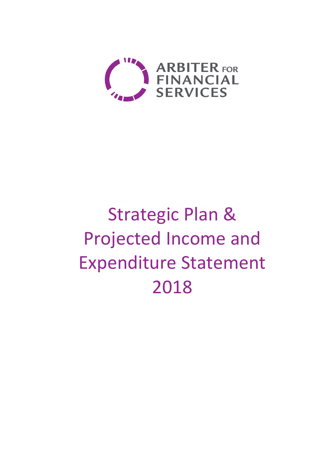

# Strategic Plan & Projected Income and Expenditure Statement 2018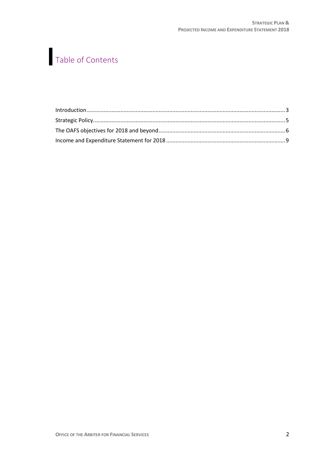## Table of Contents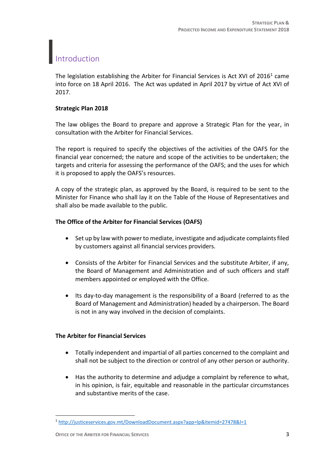## <span id="page-2-0"></span>Introduction

The legislation establishing the Arbiter for Financial Services is Act XVI of 2016<sup>1</sup> came into force on 18 April 2016. The Act was updated in April 2017 by virtue of Act XVI of 2017.

#### **Strategic Plan 2018**

The law obliges the Board to prepare and approve a Strategic Plan for the year, in consultation with the Arbiter for Financial Services.

The report is required to specify the objectives of the activities of the OAFS for the financial year concerned; the nature and scope of the activities to be undertaken; the targets and criteria for assessing the performance of the OAFS; and the uses for which it is proposed to apply the OAFS's resources.

A copy of the strategic plan, as approved by the Board, is required to be sent to the Minister for Finance who shall lay it on the Table of the House of Representatives and shall also be made available to the public.

#### **The Office of the Arbiter for Financial Services (OAFS)**

- Set up by law with power to mediate, investigate and adjudicate complaints filed by customers against all financial services providers.
- Consists of the Arbiter for Financial Services and the substitute Arbiter, if any, the Board of Management and Administration and of such officers and staff members appointed or employed with the Office.
- Its day-to-day management is the responsibility of a Board (referred to as the Board of Management and Administration) headed by a chairperson. The Board is not in any way involved in the decision of complaints.

#### **The Arbiter for Financial Services**

- Totally independent and impartial of all parties concerned to the complaint and shall not be subject to the direction or control of any other person or authority.
- Has the authority to determine and adjudge a complaint by reference to what, in his opinion, is fair, equitable and reasonable in the particular circumstances and substantive merits of the case.

 $\overline{\phantom{a}}$ 

<sup>1</sup> <http://justiceservices.gov.mt/DownloadDocument.aspx?app=lp&itemid=27478&l=1>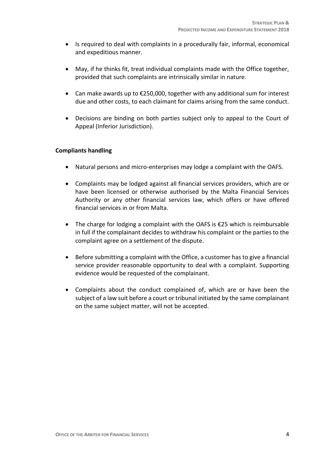- Is required to deal with complaints in a procedurally fair, informal, economical and expeditious manner.
- May, if he thinks fit, treat individual complaints made with the Office together, provided that such complaints are intrinsically similar in nature.
- Can make awards up to €250,000, together with any additional sum for interest due and other costs, to each claimant for claims arising from the same conduct.
- Decisions are binding on both parties subject only to appeal to the Court of Appeal (Inferior Jurisdiction).

#### **Compliants handling**

- Natural persons and micro-enterprises may lodge a complaint with the OAFS.
- Complaints may be lodged against all financial services providers, which are or have been licensed or otherwise authorised by the Malta Financial Services Authority or any other financial services law, which offers or have offered financial services in or from Malta.
- The charge for lodging a complaint with the OAFS is €25 which is reimbursable in full if the complainant decides to withdraw his complaint or the parties to the complaint agree on a settlement of the dispute.
- Before submitting a complaint with the Office, a customer has to give a financial service provider reasonable opportunity to deal with a complaint. Supporting evidence would be requested of the complainant.
- Complaints about the conduct complained of, which are or have been the subject of a law suit before a court or tribunal initiated by the same complainant on the same subject matter, will not be accepted.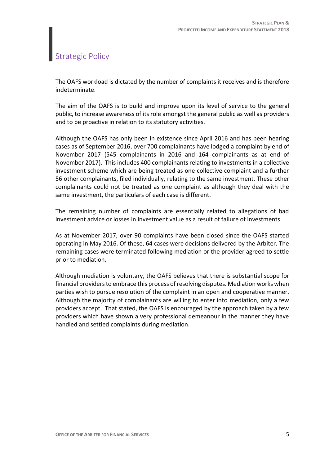### <span id="page-4-0"></span>Strategic Policy

The OAFS workload is dictated by the number of complaints it receives and is therefore indeterminate.

The aim of the OAFS is to build and improve upon its level of service to the general public, to increase awareness of its role amongst the general public as well as providers and to be proactive in relation to its statutory activities.

Although the OAFS has only been in existence since April 2016 and has been hearing cases as of September 2016, over 700 complainants have lodged a complaint by end of November 2017 (545 complainants in 2016 and 164 complainants as at end of November 2017). This includes 400 complainants relating to investments in a collective investment scheme which are being treated as one collective complaint and a further 56 other complainants, filed individually, relating to the same investment. These other complainants could not be treated as one complaint as although they deal with the same investment, the particulars of each case is different.

The remaining number of complaints are essentially related to allegations of bad investment advice or losses in investment value as a result of failure of investments.

As at November 2017, over 90 complaints have been closed since the OAFS started operating in May 2016. Of these, 64 cases were decisions delivered by the Arbiter. The remaining cases were terminated following mediation or the provider agreed to settle prior to mediation.

Although mediation is voluntary, the OAFS believes that there is substantial scope for financial providers to embrace this process of resolving disputes. Mediation works when parties wish to pursue resolution of the complaint in an open and cooperative manner. Although the majority of complainants are willing to enter into mediation, only a few providers accept. That stated, the OAFS is encouraged by the approach taken by a few providers which have shown a very professional demeanour in the manner they have handled and settled complaints during mediation.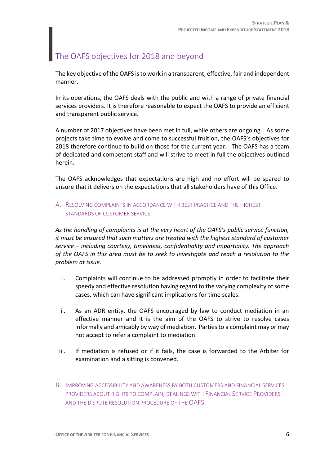## <span id="page-5-0"></span>The OAFS objectives for 2018 and beyond

The key objective of the OAFS is to work in a transparent, effective, fair and independent manner.

In its operations, the OAFS deals with the public and with a range of private financial services providers. It is therefore reasonable to expect the OAFS to provide an efficient and transparent public service.

A number of 2017 objectives have been met in full, while others are ongoing. As some projects take time to evolve and come to successful fruition, the OAFS's objectives for 2018 therefore continue to build on those for the current year. The OAFS has a team of dedicated and competent staff and will strive to meet in full the objectives outlined herein.

The OAFS acknowledges that expectations are high and no effort will be spared to ensure that it delivers on the expectations that all stakeholders have of this Office.

#### A. RESOLVING COMPLAINTS IN ACCORDANCE WITH BEST PRACTICE AND THE HIGHEST STANDARDS OF CUSTOMER SERVICE

*As the handling of complaints is at the very heart of the OAFS's public service function, it must be ensured that such matters are treated with the highest standard of customer service – including courtesy, timeliness, confidentiality and impartiality. The approach of the OAFS in this area must be to seek to investigate and reach a resolution to the problem at issue.*

- i. Complaints will continue to be addressed promptly in order to facilitate their speedy and effective resolution having regard to the varying complexity of some cases, which can have significant implications for time scales.
- ii. As an ADR entity, the OAFS encouraged by law to conduct mediation in an effective manner and it is the aim of the OAFS to strive to resolve cases informally and amicably by way of mediation. Parties to a complaint may or may not accept to refer a complaint to mediation.
- iii. If mediation is refused or if it fails, the case is forwarded to the Arbiter for examination and a sitting is convened.
- B. IMPROVING ACCESSIBILITY AND AWARENESS BY BOTH CUSTOMERS AND FINANCIAL SERVICES PROVIDERS ABOUT RIGHTS TO COMPLAIN, DEALINGS WITH FINANCIAL SERVICE PROVIDERS AND THE DISPUTE RESOLUTION PROCEDURE OF THE OAFS.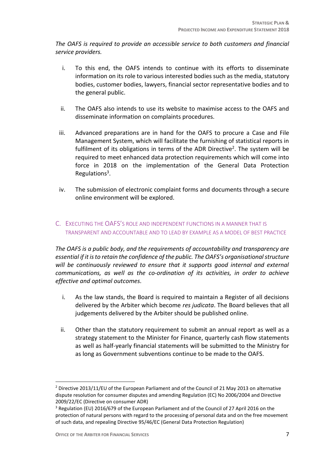*The OAFS is required to provide an accessible service to both customers and financial service providers.* 

- i. To this end, the OAFS intends to continue with its efforts to disseminate information on its role to various interested bodies such as the media, statutory bodies, customer bodies, lawyers, financial sector representative bodies and to the general public.
- ii. The OAFS also intends to use its website to maximise access to the OAFS and disseminate information on complaints procedures.
- iii. Advanced preparations are in hand for the OAFS to procure a Case and File Management System, which will facilitate the furnishing of statistical reports in fulfilment of its obligations in terms of the ADR Directive<sup>2</sup>. The system will be required to meet enhanced data protection requirements which will come into force in 2018 on the implementation of the General Data Protection Regulations<sup>3</sup>.
- iv. The submission of electronic complaint forms and documents through a secure online environment will be explored.

#### C. EXECUTING THE OAFS'S ROLE AND INDEPENDENT FUNCTIONS IN A MANNER THAT IS TRANSPARENT AND ACCOUNTABLE AND TO LEAD BY EXAMPLE AS A MODEL OF BEST PRACTICE

*The OAFS is a public body, and the requirements of accountability and transparency are essential if it is to retain the confidence of the public. The OAFS's organisational structure will be continuously reviewed to ensure that it supports good internal and external communications, as well as the co-ordination of its activities, in order to achieve effective and optimal outcomes.* 

- i. As the law stands, the Board is required to maintain a Register of all decisions delivered by the Arbiter which become *res judicata*. The Board believes that all judgements delivered by the Arbiter should be published online.
- ii. Other than the statutory requirement to submit an annual report as well as a strategy statement to the Minister for Finance, quarterly cash flow statements as well as half-yearly financial statements will be submitted to the Ministry for as long as Government subventions continue to be made to the OAFS.

 $\overline{a}$ 

<sup>2</sup> Directive 2013/11/EU of the European Parliament and of the Council of 21 May 2013 on alternative dispute resolution for consumer disputes and amending Regulation (EC) No 2006/2004 and Directive 2009/22/EC (Directive on consumer ADR)

<sup>&</sup>lt;sup>3</sup> Regulation (EU) 2016/679 of the European Parliament and of the Council of 27 April 2016 on the protection of natural persons with regard to the processing of personal data and on the free movement of such data, and repealing Directive 95/46/EC (General Data Protection Regulation)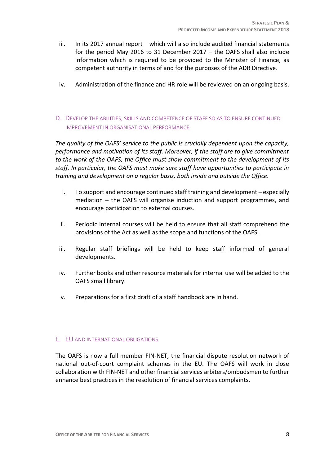- iii. In its 2017 annual report which will also include audited financial statements for the period May 2016 to 31 December 2017 – the OAFS shall also include information which is required to be provided to the Minister of Finance, as competent authority in terms of and for the purposes of the ADR Directive.
- iv. Administration of the finance and HR role will be reviewed on an ongoing basis.
- D. DEVELOP THE ABILITIES, SKILLS AND COMPETENCE OF STAFF SO AS TO ENSURE CONTINUED IMPROVEMENT IN ORGANISATIONAL PERFORMANCE

*The quality of the OAFS' service to the public is crucially dependent upon the capacity, performance and motivation of its staff. Moreover, if the staff are to give commitment to the work of the OAFS, the Office must show commitment to the development of its staff. In particular, the OAFS must make sure staff have opportunities to participate in training and development on a regular basis, both inside and outside the Office.* 

- i. To support and encourage continued staff training and development especially mediation – the OAFS will organise induction and support programmes, and encourage participation to external courses.
- ii. Periodic internal courses will be held to ensure that all staff comprehend the provisions of the Act as well as the scope and functions of the OAFS.
- iii. Regular staff briefings will be held to keep staff informed of general developments.
- iv. Further books and other resource materials for internal use will be added to the OAFS small library.
- v. Preparations for a first draft of a staff handbook are in hand.

#### E. EU AND INTERNATIONAL OBLIGATIONS

The OAFS is now a full member FIN-NET, the financial dispute resolution network of national out-of-court complaint schemes in the EU. The OAFS will work in close collaboration with FIN-NET and other financial services arbiters/ombudsmen to further enhance best practices in the resolution of financial services complaints.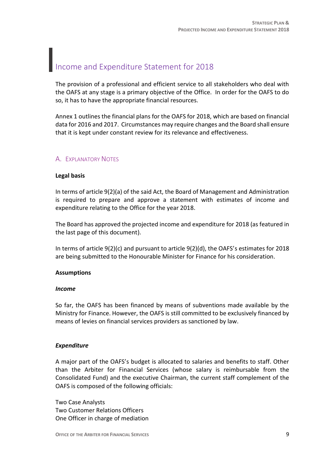## <span id="page-8-0"></span>Income and Expenditure Statement for 2018

The provision of a professional and efficient service to all stakeholders who deal with the OAFS at any stage is a primary objective of the Office. In order for the OAFS to do so, it has to have the appropriate financial resources.

Annex 1 outlines the financial plans for the OAFS for 2018, which are based on financial data for 2016 and 2017. Circumstances may require changes and the Board shall ensure that it is kept under constant review for its relevance and effectiveness.

#### A. EXPLANATORY NOTES

#### **Legal basis**

In terms of article 9(2)(a) of the said Act, the Board of Management and Administration is required to prepare and approve a statement with estimates of income and expenditure relating to the Office for the year 2018.

The Board has approved the projected income and expenditure for 2018 (as featured in the last page of this document).

In terms of article 9(2)(c) and pursuant to article 9(2)(d), the OAFS's estimates for 2018 are being submitted to the Honourable Minister for Finance for his consideration.

#### **Assumptions**

#### *Income*

So far, the OAFS has been financed by means of subventions made available by the Ministry for Finance. However, the OAFS is still committed to be exclusively financed by means of levies on financial services providers as sanctioned by law.

#### *Expenditure*

A major part of the OAFS's budget is allocated to salaries and benefits to staff. Other than the Arbiter for Financial Services (whose salary is reimbursable from the Consolidated Fund) and the executive Chairman, the current staff complement of the OAFS is composed of the following officials:

Two Case Analysts Two Customer Relations Officers One Officer in charge of mediation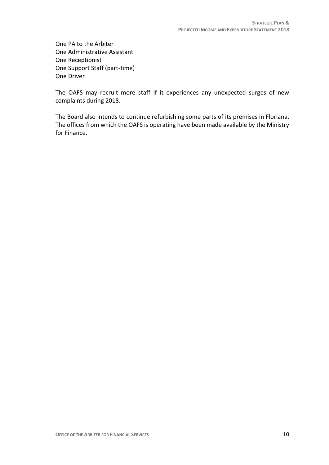One PA to the Arbiter One Administrative Assistant One Receptionist One Support Staff (part-time) One Driver

The OAFS may recruit more staff if it experiences any unexpected surges of new complaints during 2018.

The Board also intends to continue refurbishing some parts of its premises in Floriana. The offices from which the OAFS is operating have been made available by the Ministry for Finance.